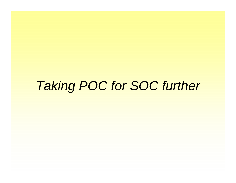# *Taking POC for SOC further*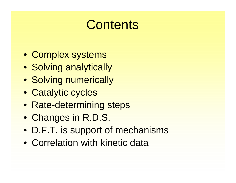# **Contents**

- Complex systems
- Solving analytically
- Solving numerically
- Catalytic cycles
- Rate-determining steps
- Changes in R.D.S.
- D.F.T. is support of mechanisms
- Correlation with kinetic data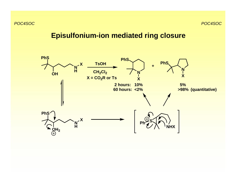# **Episulfonium-ion mediated ring closure**

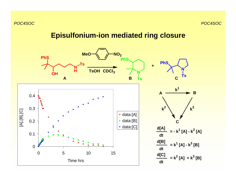# **Episulfonium-ion mediated ring closure**

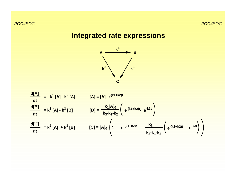# **Integrated rate expressions**



$$
\frac{d[A]}{dt} = -k^{1}[A] - k^{2}[A]
$$
  
\n[ $A$ ] = [ $A$ ]<sub>0</sub>e<sup>-(k1+k2)t</sup>  
\n
$$
\frac{d[B]}{dt} = k^{1}[A] - k^{3}[B]
$$
  
\n[ $B$ ] =  $\frac{k_{1}[A]_{0}}{k_{3}\cdot k_{1}\cdot k_{2}} \left( e^{-(k1+k2)t} - e^{-k3t} \right)$   
\n[ $C$ ] = [ $A$ ]<sub>0</sub>  $\left( 1 - e^{-(k1+k2)t} - \frac{k_{1}}{k_{3}\cdot k_{1}\cdot k_{2}} \left( e^{-(k1+k2)t} - e^{-k3t} \right) \right)$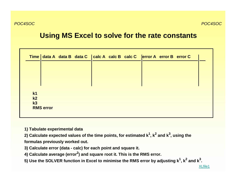# **Using MS Excel to solve for the rate constants**

|                |                  |  |  | Time   data A data B data C   calc A calc B calc C   error A error B error C |  |  |
|----------------|------------------|--|--|------------------------------------------------------------------------------|--|--|
|                |                  |  |  |                                                                              |  |  |
|                |                  |  |  |                                                                              |  |  |
|                |                  |  |  |                                                                              |  |  |
| k <sub>1</sub> |                  |  |  |                                                                              |  |  |
| k <sub>2</sub> |                  |  |  |                                                                              |  |  |
| k3             |                  |  |  |                                                                              |  |  |
|                | <b>RMS</b> error |  |  |                                                                              |  |  |
|                |                  |  |  |                                                                              |  |  |

- **1) Tabulate experimental data**
- **2) Calculate expected values of the time points, for estimated k1, k 2 and k 3, using the formulas previously worked out.**
- **3) Calculate error (data calc) for each point and square it.**
- 4) Calculate average (error<sup>2</sup>) and square root it. This is the RMS error.
- **5) Use the SOLVER function in Excel to minimise the RMS error by adjusting k1, k 2 and k 3 .**

XLfile1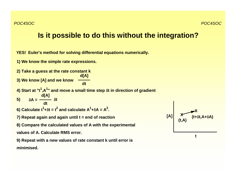# **Is it possible to do this without the integration?**

**YES! Euler's method for solving differential equations numerically.**

**1) We know the simple rate expressions.**

**d[A] 2) Take a guess at the rate constant k**

**3) We know [A] and we know dt**

**4) Start at "t1,A1" and move a small time step**  δ**t in direction of gradient**

$$
5) \qquad \delta A = \frac{d[A]}{dt} \delta t
$$

**6) Calculate**  $t^1$ **+** $\delta t$  **=**  $t^2$  **and calculate A** $^1$ **+** $\delta$ **A = A 2 .**

**7) Repeat again and again until t = end of reaction**

**8) Compare the calculated values of A with the experimental** 

**values of A. Calculate RMS error.**

**9) Repeat with a new values of rate constant k until error is minimised.**

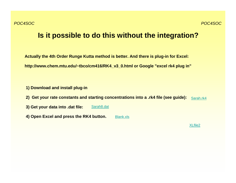# **Is it possible to do this without the integration?**

**Actually the 4th Order Runge Kutta method is better. And there is plug-in for Excel: http://www.chem.mtu.edu/~tbco/cm416/RK4\_v3\_0.html or Google "excel rk4 plug in"**

**1) Download and install plug-in**

- **2) Get your rate constants and starting concentrations into a .rk4 file (see guide):** Sarah.rk4
- **3) Get your data into .dat file:** Sarah8.dat
- **4) Open Excel and press the RK4 button.** Blank.xls

XLfile2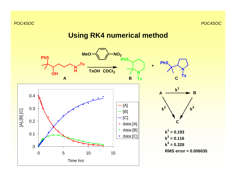# **Using RK4 numerical method**

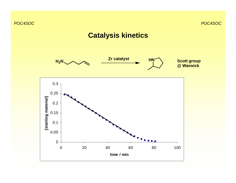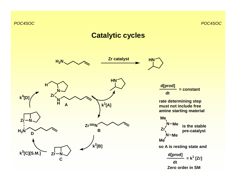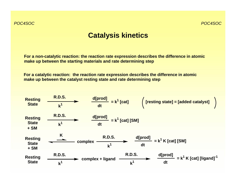# **Catalysis kinetics**

**For a non-catalytic reaction: the reaction rate expression describes the difference in atomic make up between the starting materials and rate determining step**

**For a catalytic reaction: the reaction rate expression describes the difference in atomic make up between the catalyst resting state and rate determining step**

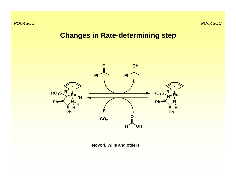# **Changes in Rate-determining step**



**Noyori, Wills and others**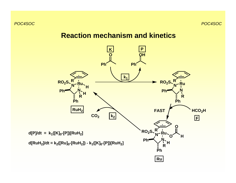#### **Reaction mechanism and kinetics**

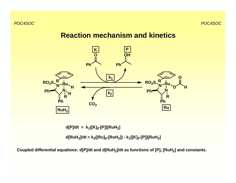

**d[P]/dt = k1([K] 0-[P])[RuH 2]**

**d[RuH 2]/dt = k 2([Ru] 0-[RuH 2]) - k1([K] 0-[P])[RuH 2]**

**Coupled differential equations: d[P]/dt and d[RuH 2]/dt as functions of [P], [RuH 2] and constants.**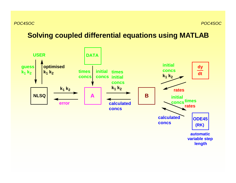# **Solving coupled differential equations using MATLAB**

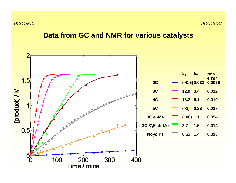*POC4SOC*

# **Data from GC and NMR for various catalysts**

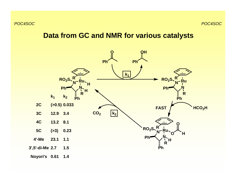#### **Data from GC and NMR for various catalysts**

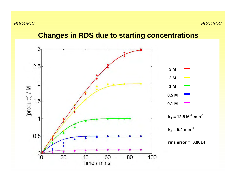### **Changes in RDS due to starting concentrations**

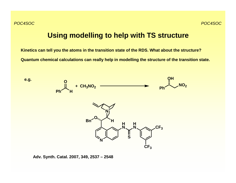#### **Using modelling to help with TS structure**

**Kinetics can tell you the atoms in the transition state of the RDS. What about the structure? Quantum chemical calculations can really help in modelling the structure of the transition state.**



**Adv. Synth. Catal. 2007, 349, 2537 – 2548**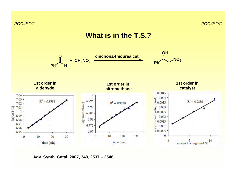

**Adv. Synth. Catal. 2007, 349, 2537 – 2548**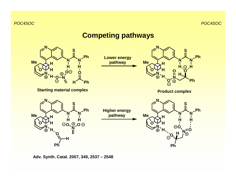# **Competing pathways**



**Adv. Synth. Catal. 2007, 349, 2537 – 2548**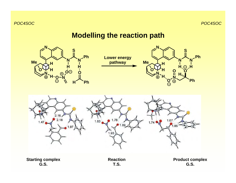# **Modelling the reaction path**

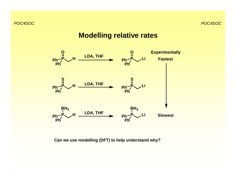#### **Modelling relative rates**



**Can we use modelling (DFT) to help understand why?**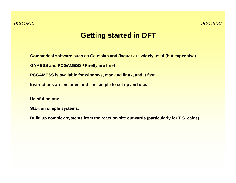## **Getting started in DFT**

**Commerical software such as Gaussian and Jaguar are widely used (but expensive).**

**GAMESS and PCGAMESS / Firefly are free!** 

**PCGAMESS is available for windows, mac and linux, and it fast.**

**Instructions are included and it is simple to set up and use.**

**Helpful points:**

**Start on simple systems.**

**Build up complex systems from the reaction site outwards (particularly for T.S. calcs).**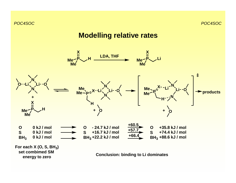# **Modelling relative rates**

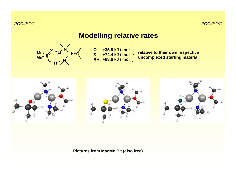# **Modelling relative rates**



**O S BH3 +35.8 kJ / mol +74.4 kJ / mol +88.6 kJ / mol**

**relative to their own respective uncomplexed starting material**



#### **Pictures from MacMolPlt (also free)**